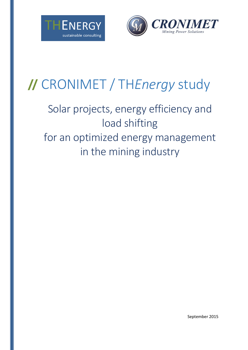



# *//* CRONIMET / TH*Energy* study

# Solar projects, energy efficiency and load shifting for an optimized energy management in the mining industry

September 2015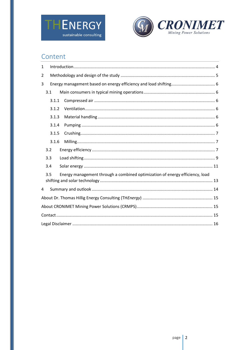



### Content

| 1                                                                                   |       |  |  |
|-------------------------------------------------------------------------------------|-------|--|--|
| 2                                                                                   |       |  |  |
| 3                                                                                   |       |  |  |
|                                                                                     | 3.1   |  |  |
|                                                                                     | 3.1.1 |  |  |
|                                                                                     | 3.1.2 |  |  |
|                                                                                     | 3.1.3 |  |  |
|                                                                                     | 3.1.4 |  |  |
|                                                                                     | 3.1.5 |  |  |
|                                                                                     | 3.1.6 |  |  |
|                                                                                     | 3.2   |  |  |
|                                                                                     | 3.3   |  |  |
|                                                                                     | 3.4   |  |  |
| Energy management through a combined optimization of energy efficiency, load<br>3.5 |       |  |  |
| 4                                                                                   |       |  |  |
|                                                                                     |       |  |  |
|                                                                                     |       |  |  |
|                                                                                     |       |  |  |
|                                                                                     |       |  |  |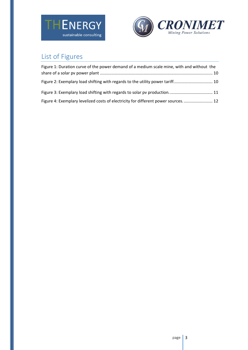



# List of Figures

| Figure 1: Duration curve of the power demand of a medium scale mine, with and without the |  |
|-------------------------------------------------------------------------------------------|--|
|                                                                                           |  |
| Figure 2: Exemplary load shifting with regards to the utility power tariff 10             |  |
|                                                                                           |  |
| Figure 4: Exemplary levelized costs of electricity for different power sources.  12       |  |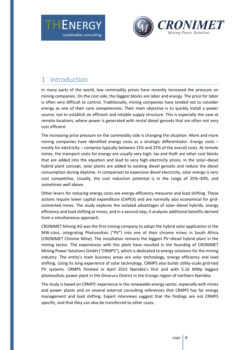



### <span id="page-3-0"></span>1 Introduction

In many parts of the world, low commodity prices have recently increased the pressure on mining companies. On the cost side, the biggest blocks are labor and energy. The price for labor is often very difficult to control. Traditionally, mining companies have tended not to consider energy as one of their core competencies. Their main objective is to quickly install a power source, not to establish an efficient and reliable supply structure. This is especially the case at remote locations, where power is generated with rental diesel gensets that are often not very cost efficient.

The increasing price pressure on the commodity side is changing the situation. More and more mining companies have identified energy costs as a strategic differentiator. Energy costs – mostly for electricity – comprise typically between 15% and 25% of the overall costs. At remote mines, the transport costs for energy are usually very high; tax and theft are other cost blocks that are added into the equation and lead to very high electricity prices. In the solar–diesel hybrid plant concept, solar plants are added to existing diesel gensets and reduce the diesel consumption during daytime. In comparison to expensive diesel electricity, solar energy is very cost competitive. Usually, the cost reduction potential is in the range of 25%–30%, and sometimes well above.

Other levers for reducing energy costs are energy-efficiency measures and load shifting. These actions require lower capital expenditure (CAPEX) and are normally also economical for gridconnected mines. The study explores the isolated advantages of solar–diesel hybrids, energy efficiency and load shifting at mines, and in a second step, it analyzes additional benefits derived from a simultaneous approach.

CRONIMET Mining AG was the first mining company to adopt the hybrid solar application in the MW-class, integrating Photovoltaic ("PV") into one of their chrome mines in South Africa (CRONIMET Chrome Mine). The installation remains the biggest PV–diesel hybrid plant in the mining sector. The experiences with this plant have resulted in the founding of CRONIMET Mining Power Solutions GmbH ("CRMPS"), which is dedicated to energy solutions for the mining industry. The entity's main business areas are solar technology, energy efficiency and load shifting. Using its long experience of solar technology, CRMPS also builds utility-scale grid-tied PV systems. CRMPS finished in April 2015 Namibia's first and with 5.16 MWp biggest photovoltaic power plant in the Omaruru District in the Erongo region of northern Namibia.

The study is based on CRMPS' experience in the renewable-energy sector, especially with mines and power plants and on several external consulting references that CRMPS has for energy management and load shifting. Expert interviews suggest that the findings are not CRMPS specific, and that they can also be transferred to other cases.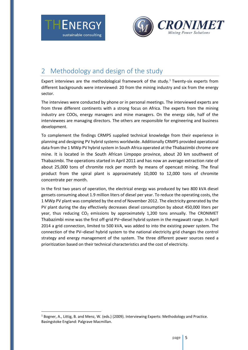



# <span id="page-4-0"></span>2 Methodology and design of the study

Expert interviews are the methodological framework of the study.<sup>1</sup> Twenty-six experts from different backgrounds were interviewed: 20 from the mining industry and six from the energy sector.

The interviews were conducted by phone or in personal meetings. The interviewed experts are from three different continents with a strong focus on Africa. The experts from the mining industry are COOs, energy managers and mine managers. On the energy side, half of the interviewees are managing directors. The others are responsible for engineering and business development.

To complement the findings CRMPS supplied technical knowledge from their experience in planning and designing PV hybrid systems worldwide. Additionally CRMPS provided operational data from the 1 MWp PV hybrid system in South Africa operated at the Thabazimbi chrome ore mine. It is located in the South African Limpopo province, about 20 km southwest of Thabazimbi. The operations started in April 2011 and has now an average extraction rate of about 25,000 tons of chromite rock per month by means of opencast mining. The final product from the spiral plant is approximately 10,000 to 12,000 tons of chromite concentrate per month.

In the first two years of operation, the electrical energy was produced by two 800 kVA diesel gensets consuming about 1.9 million liters of diesel per year. To reduce the operating costs, the 1 MWp PV plant was completed by the end of November 2012. The electricity generated by the PV plant during the day effectively decreases diesel consumption by about 450,000 liters per year, thus reducing  $CO<sub>2</sub>$  emissions by approximately 1,200 tons annually. The CRONIMET Thabazimbi mine was the first off-grid PV–diesel hybrid system in the megawatt range. In April 2014 a grid connection, limited to 500 kVA, was added to into the existing power system. The connection of the PV–diesel hybrid system to the national electricity grid changes the control strategy and energy management of the system. The three different power sources need a prioritization based on their technical characteristics and the cost of electricity.

 $\overline{a}$ 

<sup>&</sup>lt;sup>1</sup> Bogner, A., Littig, B. and Menz, W. (eds.) (2009). Interviewing Experts: Methodology and Practice. Basingstoke England: Palgrave Macmillan.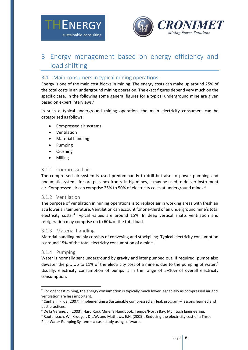



# <span id="page-5-0"></span>3 Energy management based on energy efficiency and load shifting

#### <span id="page-5-1"></span>3.1 Main consumers in typical mining operations

Energy is one of the main cost blocks in mining. The energy costs can make up around 25% of the total costs in an underground mining operation. The exact figures depend very much on the specific case. In the following some general figures for a typical underground mine are given based on expert interviews.<sup>2</sup>

In such a typical underground mining operation, the main electricity consumers can be categorized as follows:

- Compressed air systems
- Ventilation
- Material handling
- Pumping
- Crushing
- Milling

#### <span id="page-5-2"></span>3.1.1 Compressed air

The compressed air system is used predominantly to drill but also to power pumping and pneumatic systems for ore-pass box fronts. In big mines, it may be used to deliver instrument air. Compressed air can comprise 25% to 50% of electricity costs at underground mines.<sup>3</sup>

#### <span id="page-5-3"></span>3.1.2 Ventilation

The purpose of ventilation in mining operations is to replace air in working areas with fresh air at a lower air temperature. Ventilation can account for one-third of an underground mine's total electricity costs. <sup>4</sup> Typical values are around 15%. In deep vertical shafts ventilation and refrigeration may comprise up to 60% of the total load.

#### <span id="page-5-4"></span>3.1.3 Material handling

Material handling mainly consists of conveying and stockpiling. Typical electricity consumption is around 15% of the total electricity consumption of a mine.

#### <span id="page-5-5"></span>3.1.4 Pumping

 $\overline{a}$ 

Water is normally sent underground by gravity and later pumped out. If required, pumps also dewater the pit. Up to 11% of the electricity cost of a mine is due to the pumping of water.<sup>5</sup> Usually, electricity consumption of pumps is in the range of 5–10% of overall electricity consumption.

<sup>&</sup>lt;sup>2</sup> For opencast mining, the energy consumption is typically much lower, especially as compressed air and ventilation are less important.

<sup>3</sup> Cunha, I. F. da (2007). Implementing a Sustainable compressed air leak program – lessons learned and best practices.

<sup>4</sup> De la Vergne, J. (2003). Hard Rock Miner's Handbook. Tempe/North Bay: McIntosh Engineering.

<sup>5</sup> Rautenbach, W., Krueger, D.L.W. and Mathews, E.H. (2005). Reducing the electricity cost of a Three-Pipe Water Pumping System – a case study using software.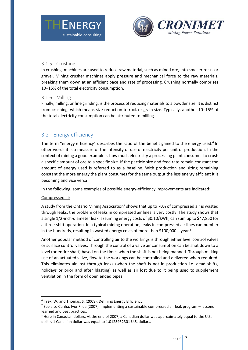



#### <span id="page-6-0"></span>3.1.5 Crushing

In crushing, machines are used to reduce raw material, such as mined ore, into smaller rocks or gravel. Mining crusher machines apply pressure and mechanical force to the raw materials, breaking them down at an efficient pace and rate of processing. Crushing normally comprises 10–15% of the total electricity consumption.

#### <span id="page-6-1"></span>3.1.6 Milling

Finally, milling, or fine grinding, is the process of reducing materials to a powder size. It is distinct from crushing, which means size reduction to rock or grain size. Typically, another 10–15% of the total electricity consumption can be attributed to milling.

### <span id="page-6-2"></span>3.2 Energy efficiency

The term "energy efficiency" describes the ratio of the benefit gained to the energy used.<sup>6</sup> In other words it is a measure of the intensity of use of electricity per unit of production. In the context of mining a good example is how much electricity a processing plant consumes to crush a specific amount of ore to a specific size. If the particle size and feed rate remain constant the amount of energy used is referred to as a baseline. With production and sizing remaining constant the more energy the plant consumes for the same output the less energy efficient it is becoming and vice versa

In the following, some examples of possible energy-efficiency improvements are indicated:

#### Compressed air

 $\overline{a}$ 

A study from the Ontario Mining Association<sup>7</sup> shows that up to 70% of compressed air is wasted through leaks; the problem of leaks in compressed air lines is very costly. The study shows that a single 1/2-inch-diameter leak, assuming energy costs of \$0.10/kWh, can sum up to \$47,850 for a three-shift operation. In a typical mining operation, leaks in compressed air lines can number in the hundreds, resulting in wasted energy costs of more than \$100,000 a year. $8$ 

Another popular method of controlling air to the workings is through either level control valves or surface control valves. Through the control of a valve air consumption can be shut down to a level (or entire shaft) based on the times when the shaft is not being manned. Through making use of an actuated valve, flow to the workings can be controlled and delivered when required. This eliminates air lost through leaks (when the shaft is not in production i.e. dead shifts, holidays or prior and after blasting) as well as air lost due to it being used to supplement ventilation in the form of open ended pipes.

<sup>6</sup> Irrek, W. and Thomas, S. (2008). Defining Energy Efficiency.

<sup>&</sup>lt;sup>7</sup> See also Cunha, Ivor F. da (2007). Implementing a sustainable compressed air leak program – lessons learned and best practices.

<sup>&</sup>lt;sup>8</sup> Here in Canadian dollars. At the end of 2007, a Canadian dollar was approximately equal to the U.S. dollar. 1 Canadian dollar was equal to 1.0123952301 U.S. dollars.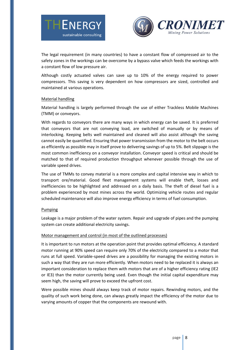



The legal requirement (in many countries) to have a constant flow of compressed air to the safety zones in the workings can be overcome by a bypass valve which feeds the workings with a constant flow of low pressure air.

Although costly actuated valves can save up to 10% of the energy required to power compressors. This saving is very dependent on how compressors are sized, controlled and maintained at various operations.

#### Material handling

Material handling is largely performed through the use of either Trackless Mobile Machines (TMM) or conveyors.

With regards to conveyors there are many ways in which energy can be saved. It is preferred that conveyors that are not conveying load, are switched of manually or by means of interlocking. Keeping belts well maintained and cleaned will also assist although the saving cannot easily be quantified. Ensuring that power transmission from the motor to the belt occurs as efficiently as possible may in itself prove to delivering savings of up to 5%. Belt slippage is the most common inefficiency on a conveyor installation. Conveyor speed is critical and should be matched to that of required production throughput whenever possible through the use of variable speed drives.

The use of TMMs to convey material is a more complex and capital intensive way in which to transport ore/material. Good fleet management systems will enable theft, losses and inefficiencies to be highlighted and addressed on a daily basis. The theft of diesel fuel is a problem experienced by most mines across the world. Optimizing vehicle routes and regular scheduled maintenance will also improve energy efficiency in terms of fuel consumption.

#### Pumping

Leakage is a major problem of the water system. Repair and upgrade of pipes and the pumping system can create additional electricity savings.

#### Motor management and control (in most of the outlined processes)

It is important to run motors at the operation point that provides optimal efficiency. A standard motor running at 90% speed can require only 70% of the electricity compared to a motor that runs at full speed. Variable-speed drives are a possibility for managing the existing motors in such a way that they are run more efficiently. When motors need to be replaced it is always an important consideration to replace them with motors that are of a higher efficiency rating (IE2 or IE3) than the motor currently being used. Even though the initial capital expenditure may seem high, the saving will prove to exceed the upfront cost.

Were possible mines should always keep track of motor repairs. Rewinding motors, and the quality of such work being done, can always greatly impact the efficiency of the motor due to varying amounts of copper that the components are rewound with.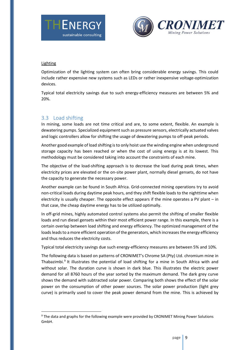



#### **Lighting**

 $\overline{a}$ 

Optimization of the lighting system can often bring considerable energy savings. This could include rather expensive new systems such as LEDs or rather inexpensive voltage-optimization devices.

Typical total electricity savings due to such energy-efficiency measures are between 5% and 20%.

#### <span id="page-8-0"></span>3.3 Load shifting

In mining, some loads are not time critical and are, to some extent, flexible. An example is dewatering pumps. Specialized equipment such as pressure sensors, electrically actuated valves and logic controllers allow for shifting the usage of dewatering pumps to off-peak periods.

Another good example of load shifting is to only hoist use the winding engine when underground storage capacity has been reached or when the cost of using energy is at its lowest. This methodology must be considered taking into account the constraints of each mine.

The objective of the load-shifting approach is to decrease the load during peak times, when electricity prices are elevated or the on-site power plant, normally diesel gensets, do not have the capacity to generate the necessary power.

Another example can be found in South Africa. Grid-connected mining operations try to avoid non-critical loads during daytime peak hours, and they shift flexible loads to the nighttime when electricity is usually cheaper. The opposite effect appears if the mine operates a PV plant – in that case, the cheap daytime energy has to be utilized optimally.

In off-grid mines, highly automated control systems also permit the shifting of smaller flexible loads and run diesel gensets within their most efficient power range. In this example, there is a certain overlap between load shifting and energy efficiency. The optimized management of the loads leads to a more efficient operation of the generators, which increases the energy efficiency and thus reduces the electricity costs.

Typical total electricity savings due such energy-efficiency measures are between 5% and 10%.

The following data is based on patterns of CRONIMET's Chrome SA (Pty) Ltd. chromium mine in Thabazimbi.<sup>9</sup> It illustrates the potential of load shifting for a mine in South Africa with and without solar. The duration curve is shown in dark blue. This illustrates the electric power demand for all 8760 hours of the year sorted by the maximum demand. The dark grey curve shows the demand with subtracted solar power. Comparing both shows the effect of the solar power on the consumption of other power sources. The solar power production (light grey curve) is primarily used to cover the peak power demand from the mine. This is achieved by

<sup>&</sup>lt;sup>9</sup> The data and graphs for the following example were provided by CRONIMET Mining Power Solutions GmbH.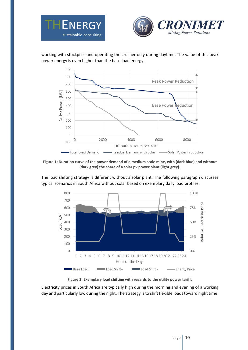

working with stockpiles and operating the crusher only during daytime. The value of this peak power energy is even higher than the base load energy.



<span id="page-9-0"></span>**Figure 1: Duration curve of the power demand of a medium scale mine, with (dark blue) and without (dark grey) the share of a solar pv power plant (light grey).** 

The load shifting strategy is different without a solar plant. The following paragraph discusses typical scenarios in South Africa without solar based on exemplary daily load profiles.



**Figure 2: Exemplary load shifting with regards to the utility power tariff.**

<span id="page-9-1"></span>Electricity prices in South Africa are typically high during the morning and evening of a working day and particularly low during the night. The strategy is to shift flexible loads toward night time.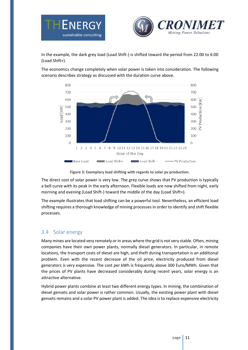

In the example, the dark grey load (Load Shift-) is shifted toward the period from 22:00 to 6:00 (Load Shift+).

The economics change completely when solar power is taken into consideration. The following scenario describes strategy as discussed with the duration curve above.



**Figure 3: Exemplary load shifting with regards to solar pv production.**

<span id="page-10-1"></span>The direct cost of solar power is very low. The grey curve shows that PV production is typically a bell curve with its peak in the early afternoon. Flexible loads are now shifted from night, early morning and evening (Load Shift-) toward the middle of the day (Load Shift+).

The example illustrates that load shifting can be a powerful tool. Nevertheless, an efficient load shifting requires a thorough knowledge of mining processes in order to identify and shift flexible processes.

#### <span id="page-10-0"></span>3.4 Solar energy

Many mines are located very remotely or in areas where the grid is not very stable. Often, mining companies have their own power plants, normally diesel generators. In particular, in remote locations, the transport costs of diesel are high, and theft during transportation is an additional problem. Even with the recent decrease of the oil price, electricity produced from diesel generators is very expensive. The cost per kWh is frequently above 300 Euro/MWh. Given that the prices of PV plants have decreased considerably during recent years, solar energy is an attractive alternative.

Hybrid power plants combine at least two different energy types. In mining, the combination of diesel gensets and solar power is rather common. Usually, the existing power plant with diesel gensets remains and a solar PV power plant is added. The idea is to replace expensive electricity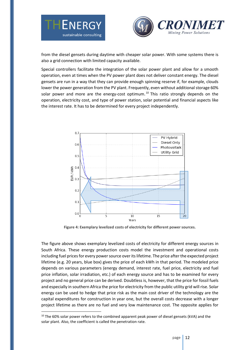

from the diesel gensets during daytime with cheaper solar power. With some systems there is also a grid connection with limited capacity available.

Special controllers facilitate the integration of the solar power plant and allow for a smooth operation, even at times when the PV power plant does not deliver constant energy. The diesel gensets are run in a way that they can provide enough spinning reserve if, for example, clouds lower the power generation from the PV plant. Frequently, even without additional storage 60% solar power and more are the energy-cost optimum.<sup>10</sup> This ratio strongly depends on the operation, electricity cost, and type of power station, solar potential and financial aspects like the interest rate. It has to be determined for every project independently.



**Figure 4: Exemplary levelized costs of electricity for different power sources.** 

<span id="page-11-0"></span>The figure above shows exemplary levelized costs of electricity for different energy sources in South Africa. These energy production costs model the investment and operational costs including fuel prices for every power source over its lifetime. The price after the expected project lifetime (e.g. 20 years, blue box) gives the price of each kWh in that period. The modeled price depends on various parameters (energy demand, interest rate, fuel price, electricity and fuel price inflation, solar irradiation, etc.) of each energy source and has to be examined for every project and no general price can be derived. Doubtless is, however, that the price for fossil fuels and especially in southern Africa the price for electricity from the public utility grid will rise. Solar energy can be used to hedge that price risk as the main cost driver of the technology are the capital expenditures for construction in year one, but the overall costs decrease with a longer project lifetime as there are no fuel and very low maintenance cost. The opposite applies for

 $\overline{a}$ 

 $10$  The 60% solar power refers to the combined apparent peak power of diesel gensets (kVA) and the solar plant. Also, the coefficient is called the penetration rate.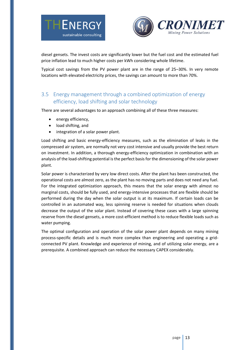



diesel gensets. The invest costs are significantly lower but the fuel cost and the estimated fuel price inflation lead to much higher costs per kWh considering whole lifetime.

Typical cost savings from the PV power plant are in the range of 25–30%. In very remote locations with elevated electricity prices, the savings can amount to more than 70%.

### <span id="page-12-0"></span>3.5 Energy management through a combined optimization of energy efficiency, load shifting and solar technology

There are several advantages to an approach combining all of these three measures:

- energy efficiency,
- load shifting, and
- integration of a solar power plant.

Load shifting and basic energy-efficiency measures, such as the elimination of leaks in the compressed air system, are normally not very cost intensive and usually provide the best return on investment. In addition, a thorough energy-efficiency optimization in combination with an analysis of the load-shifting potential is the perfect basis for the dimensioning of the solar power plant.

Solar power is characterized by very low direct costs. After the plant has been constructed, the operational costs are almost zero, as the plant has no moving parts and does not need any fuel. For the integrated optimization approach, this means that the solar energy with almost no marginal costs, should be fully used, and energy-intensive processes that are flexible should be performed during the day when the solar output is at its maximum. If certain loads can be controlled in an automated way, less spinning reserve is needed for situations when clouds decrease the output of the solar plant. Instead of covering these cases with a large spinning reserve from the diesel gensets, a more cost-efficient method is to reduce flexible loads such as water pumping.

The optimal configuration and operation of the solar power plant depends on many mining process-specific details and is much more complex than engineering and operating a gridconnected PV plant. Knowledge and experience of mining, and of utilizing solar energy, are a prerequisite. A combined approach can reduce the necessary CAPEX considerably.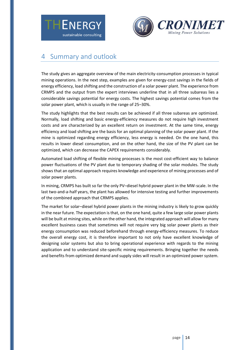



### <span id="page-13-0"></span>4 Summary and outlook

The study gives an aggregate overview of the main electricity-consumption processes in typical mining operations. In the next step, examples are given for energy-cost savings in the fields of energy efficiency, load shifting and the construction of a solar power plant. The experience from CRMPS and the output from the expert interviews underline that in all three subareas lies a considerable savings potential for energy costs. The highest savings potential comes from the solar power plant, which is usually in the range of 25–30%.

The study highlights that the best results can be achieved if all three subareas are optimized. Normally, load shifting and basic energy-efficiency measures do not require high investment costs and are characterized by an excellent return on investment. At the same time, energy efficiency and load shifting are the basis for an optimal planning of the solar power plant. If the mine is optimized regarding energy efficiency, less energy is needed. On the one hand, this results in lower diesel consumption, and on the other hand, the size of the PV plant can be optimized, which can decrease the CAPEX requirements considerably.

Automated load shifting of flexible mining processes is the most cost-efficient way to balance power fluctuations of the PV plant due to temporary shading of the solar modules. The study shows that an optimal approach requires knowledge and experience of mining processes and of solar power plants.

In mining, CRMPS has built so far the only PV–diesel hybrid power plant in the MW-scale. In the last two-and-a-half years, the plant has allowed for intensive testing and further improvements of the combined approach that CRMPS applies.

The market for solar–diesel hybrid power plants in the mining industry is likely to grow quickly in the near future. The expectation is that, on the one hand, quite a few large solar power plants will be built at mining sites, while on the other hand, the integrated approach will allow for many excellent business cases that sometimes will not require very big solar power plants as their energy consumption was reduced beforehand through energy-efficiency measures. To reduce the overall energy cost, it is therefore important to not only have excellent knowledge of designing solar systems but also to bring operational experience with regards to the mining application and to understand site-specific mining requirements. Bringing together the needs and benefits from optimized demand and supply sides will result in an optimized power system.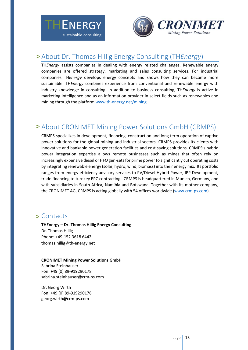



### <span id="page-14-0"></span>*>* About Dr. Thomas Hillig Energy Consulting (TH*Energy*)

TH*Energy* assists companies in dealing with energy related challenges. Renewable energy companies are offered strategy, marketing and sales consulting services. For industrial companies TH*Energy* develops energy concepts and shows how they can become more sustainable. TH*Energy* combines experience from conventional and renewable energy with industry knowledge in consulting. In addition to business consulting, TH*Energy* is active in marketing intelligence and as an information provider in select fields such as renewables and mining through the platfor[m www.th-energy.net/mining.](http://www.th-energy.net/mining)

## <span id="page-14-1"></span>*>* About CRONIMET Mining Power Solutions GmbH (CRMPS)

CRMPS specializes in development, financing, construction and long term operation of captive power solutions for the global mining and industrial sectors. CRMPS provides its clients with innovative and bankable power generation facilities and cost saving solutions. CRMPS's hybrid power integration expertise allows remote businesses such as mines that often rely on increasingly expensive diesel or HFO gen-sets for prime power to significantly cut operating costs by integrating renewable energy (solar, hydro, wind, biomass) into their energy mix. Its portfolio ranges from energy efficiency advisory services to PV/Diesel Hybrid Power, IPP Development, trade financing to turnkey EPC contracting. CRMPS is headquartered in Munich, Germany, and with subsidiaries in South Africa, Namibia and Botswana. Together with its mother company, the CRONIMET AG, CRMPS is acting globally with 54 offices worldwide [\(www.crm-ps.com\)](http://www.crm-ps.com/).

### <span id="page-14-2"></span>*>* Contacts

**THEnergy – Dr. Thomas Hillig Energy Consulting** Dr. Thomas Hillig Phone: +49-152 3618 6442 thomas.hillig@th-energy.net

#### **CRONIMET Mining Power Solutions GmbH**

Sabrina Steinhauser Fon: +49 (0) 89-919290178 sabrina.steinhauser@crm-ps.com

Dr. Georg Wirth Fon: +49 (0) 89-919290176 georg.wirth@crm-ps.com